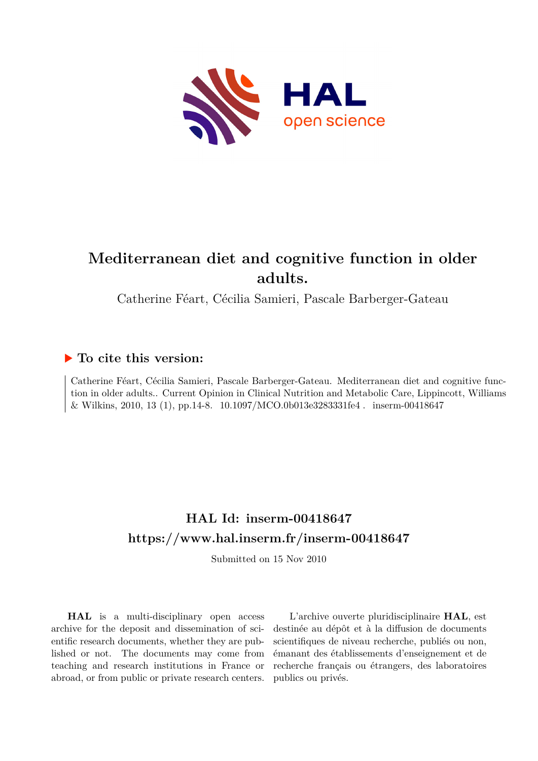

# **Mediterranean diet and cognitive function in older adults.**

Catherine Féart, Cécilia Samieri, Pascale Barberger-Gateau

# **To cite this version:**

Catherine Féart, Cécilia Samieri, Pascale Barberger-Gateau. Mediterranean diet and cognitive function in older adults.. Current Opinion in Clinical Nutrition and Metabolic Care, Lippincott, Williams  $\&$  Wilkins, 2010, 13 (1), pp.14-8.  $\,$  10.1097/MCO.0b013e3283331fe4  $. \,$  inserm-00418647  $\,$ 

# **HAL Id: inserm-00418647 <https://www.hal.inserm.fr/inserm-00418647>**

Submitted on 15 Nov 2010

**HAL** is a multi-disciplinary open access archive for the deposit and dissemination of scientific research documents, whether they are published or not. The documents may come from teaching and research institutions in France or abroad, or from public or private research centers.

L'archive ouverte pluridisciplinaire **HAL**, est destinée au dépôt et à la diffusion de documents scientifiques de niveau recherche, publiés ou non, émanant des établissements d'enseignement et de recherche français ou étrangers, des laboratoires publics ou privés.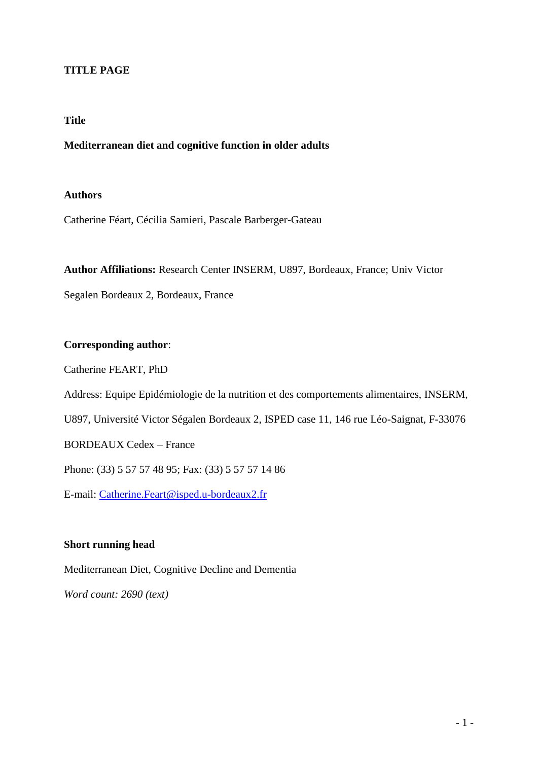## **TITLE PAGE**

#### **Title**

#### **Mediterranean diet and cognitive function in older adults**

### **Authors**

Catherine Féart, Cécilia Samieri, Pascale Barberger-Gateau

**Author Affiliations:** Research Center INSERM, U897, Bordeaux, France; Univ Victor

Segalen Bordeaux 2, Bordeaux, France

### **Corresponding author**:

Catherine FEART, PhD

Address: Equipe Epidémiologie de la nutrition et des comportements alimentaires, INSERM,

U897, Université Victor Ségalen Bordeaux 2, ISPED case 11, 146 rue Léo-Saignat, F-33076

BORDEAUX Cedex – France

Phone: (33) 5 57 57 48 95; Fax: (33) 5 57 57 14 86

E-mail: [Catherine.Feart@isped.u-bordeaux2.fr](mailto:Catherine.Feart@isped.u-bordeaux2.fr)

#### **Short running head**

Mediterranean Diet, Cognitive Decline and Dementia

*Word count: 2690 (text)*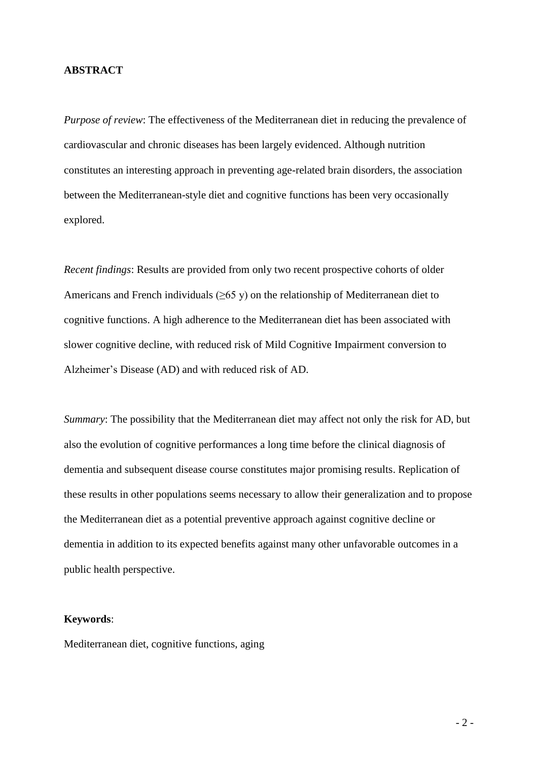#### **ABSTRACT**

*Purpose of review*: The effectiveness of the Mediterranean diet in reducing the prevalence of cardiovascular and chronic diseases has been largely evidenced. Although nutrition constitutes an interesting approach in preventing age-related brain disorders, the association between the Mediterranean-style diet and cognitive functions has been very occasionally explored.

*Recent findings*: Results are provided from only two recent prospective cohorts of older Americans and French individuals  $(\geq 65 \text{ y})$  on the relationship of Mediterranean diet to cognitive functions. A high adherence to the Mediterranean diet has been associated with slower cognitive decline, with reduced risk of Mild Cognitive Impairment conversion to Alzheimer's Disease (AD) and with reduced risk of AD.

*Summary*: The possibility that the Mediterranean diet may affect not only the risk for AD, but also the evolution of cognitive performances a long time before the clinical diagnosis of dementia and subsequent disease course constitutes major promising results. Replication of these results in other populations seems necessary to allow their generalization and to propose the Mediterranean diet as a potential preventive approach against cognitive decline or dementia in addition to its expected benefits against many other unfavorable outcomes in a public health perspective.

#### **Keywords**:

Mediterranean diet, cognitive functions, aging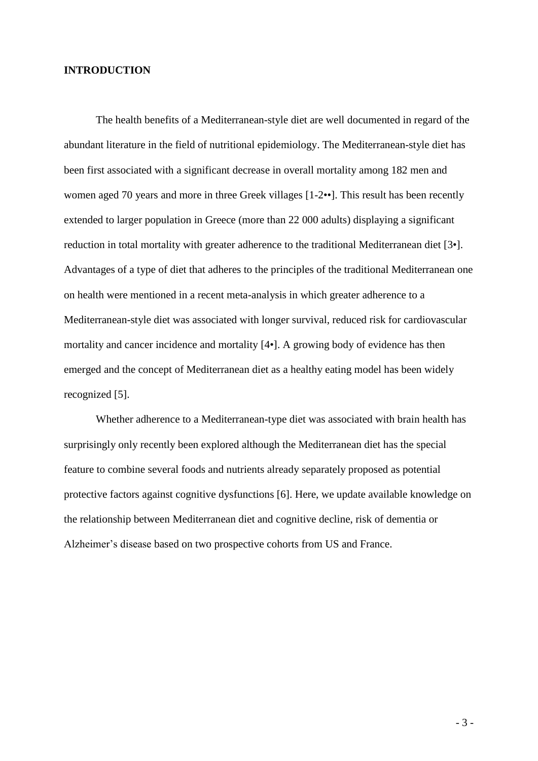#### **INTRODUCTION**

The health benefits of a Mediterranean-style diet are well documented in regard of the abundant literature in the field of nutritional epidemiology. The Mediterranean-style diet has been first associated with a significant decrease in overall mortality among 182 men and women aged 70 years and more in three Greek villages [1-2••]. This result has been recently extended to larger population in Greece (more than 22 000 adults) displaying a significant reduction in total mortality with greater adherence to the traditional Mediterranean diet [3•]. Advantages of a type of diet that adheres to the principles of the traditional Mediterranean one on health were mentioned in a recent meta-analysis in which greater adherence to a Mediterranean-style diet was associated with longer survival, reduced risk for cardiovascular mortality and cancer incidence and mortality [4•]. A growing body of evidence has then emerged and the concept of Mediterranean diet as a healthy eating model has been widely recognized [5].

Whether adherence to a Mediterranean-type diet was associated with brain health has surprisingly only recently been explored although the Mediterranean diet has the special feature to combine several foods and nutrients already separately proposed as potential protective factors against cognitive dysfunctions [6]. Here, we update available knowledge on the relationship between Mediterranean diet and cognitive decline, risk of dementia or Alzheimer's disease based on two prospective cohorts from US and France.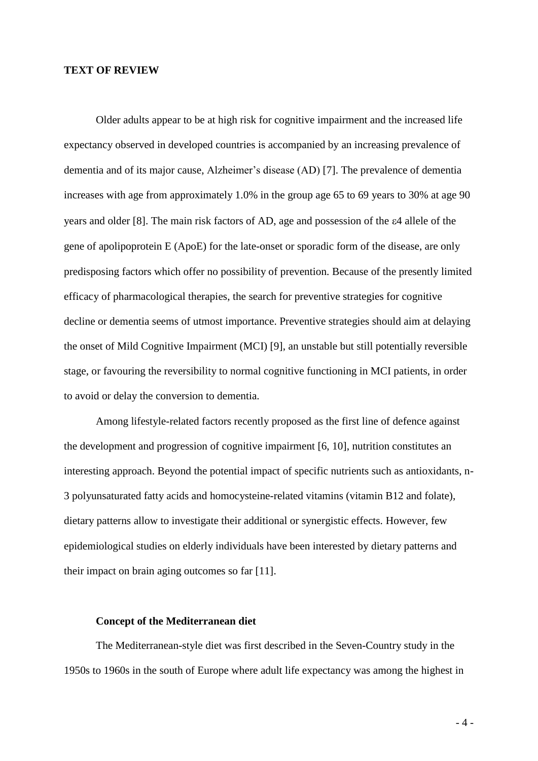#### **TEXT OF REVIEW**

Older adults appear to be at high risk for cognitive impairment and the increased life expectancy observed in developed countries is accompanied by an increasing prevalence of dementia and of its major cause, Alzheimer's disease (AD) [7]. The prevalence of dementia increases with age from approximately 1.0% in the group age 65 to 69 years to 30% at age 90 years and older [8]. The main risk factors of AD, age and possession of the  $\varepsilon$ 4 allele of the gene of apolipoprotein E (ApoE) for the late-onset or sporadic form of the disease, are only predisposing factors which offer no possibility of prevention. Because of the presently limited efficacy of pharmacological therapies, the search for preventive strategies for cognitive decline or dementia seems of utmost importance. Preventive strategies should aim at delaying the onset of Mild Cognitive Impairment (MCI) [9], an unstable but still potentially reversible stage, or favouring the reversibility to normal cognitive functioning in MCI patients, in order to avoid or delay the conversion to dementia.

Among lifestyle-related factors recently proposed as the first line of defence against the development and progression of cognitive impairment [6, 10], nutrition constitutes an interesting approach. Beyond the potential impact of specific nutrients such as antioxidants, n-3 polyunsaturated fatty acids and homocysteine-related vitamins (vitamin B12 and folate), dietary patterns allow to investigate their additional or synergistic effects. However, few epidemiological studies on elderly individuals have been interested by dietary patterns and their impact on brain aging outcomes so far [11].

#### **Concept of the Mediterranean diet**

The Mediterranean-style diet was first described in the Seven-Country study in the 1950s to 1960s in the south of Europe where adult life expectancy was among the highest in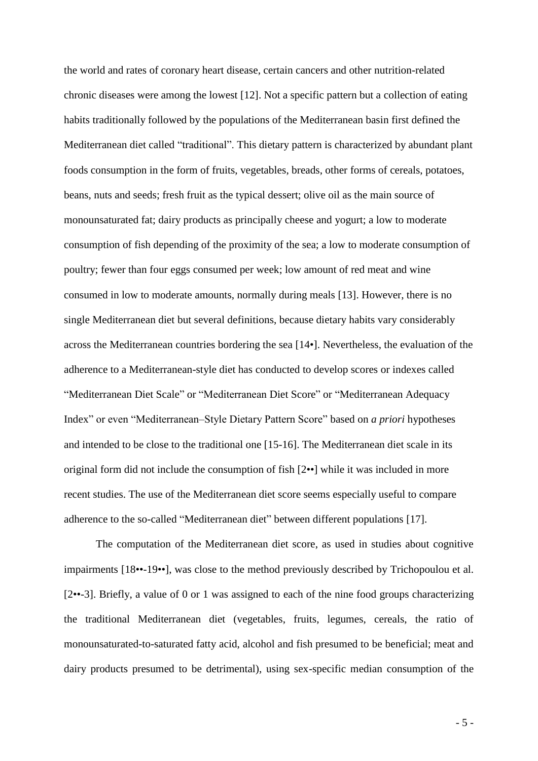the world and rates of coronary heart disease, certain cancers and other nutrition-related chronic diseases were among the lowest [12]. Not a specific pattern but a collection of eating habits traditionally followed by the populations of the Mediterranean basin first defined the Mediterranean diet called "traditional". This dietary pattern is characterized by abundant plant foods consumption in the form of fruits, vegetables, breads, other forms of cereals, potatoes, beans, nuts and seeds; fresh fruit as the typical dessert; olive oil as the main source of monounsaturated fat; dairy products as principally cheese and yogurt; a low to moderate consumption of fish depending of the proximity of the sea; a low to moderate consumption of poultry; fewer than four eggs consumed per week; low amount of red meat and wine consumed in low to moderate amounts, normally during meals [13]. However, there is no single Mediterranean diet but several definitions, because dietary habits vary considerably across the Mediterranean countries bordering the sea [14•]. Nevertheless, the evaluation of the adherence to a Mediterranean-style diet has conducted to develop scores or indexes called "Mediterranean Diet Scale" or "Mediterranean Diet Score" or "Mediterranean Adequacy Index" or even "Mediterranean–Style Dietary Pattern Score" based on *a priori* hypotheses and intended to be close to the traditional one [15-16]. The Mediterranean diet scale in its original form did not include the consumption of fish [2••] while it was included in more recent studies. The use of the Mediterranean diet score seems especially useful to compare adherence to the so-called "Mediterranean diet" between different populations [17].

The computation of the Mediterranean diet score, as used in studies about cognitive impairments [18••-19••], was close to the method previously described by Trichopoulou et al. [2••-3]. Briefly, a value of 0 or 1 was assigned to each of the nine food groups characterizing the traditional Mediterranean diet (vegetables, fruits, legumes, cereals, the ratio of monounsaturated-to-saturated fatty acid, alcohol and fish presumed to be beneficial; meat and dairy products presumed to be detrimental), using sex-specific median consumption of the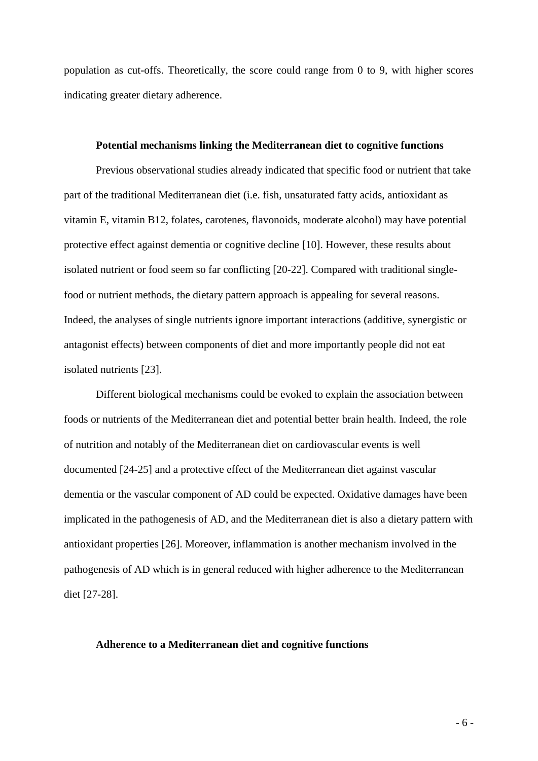population as cut-offs. Theoretically, the score could range from 0 to 9, with higher scores indicating greater dietary adherence.

#### **Potential mechanisms linking the Mediterranean diet to cognitive functions**

Previous observational studies already indicated that specific food or nutrient that take part of the traditional Mediterranean diet (i.e. fish, unsaturated fatty acids, antioxidant as vitamin E, vitamin B12, folates, carotenes, flavonoids, moderate alcohol) may have potential protective effect against dementia or cognitive decline [10]. However, these results about isolated nutrient or food seem so far conflicting [20-22]. Compared with traditional singlefood or nutrient methods, the dietary pattern approach is appealing for several reasons. Indeed, the analyses of single nutrients ignore important interactions (additive, synergistic or antagonist effects) between components of diet and more importantly people did not eat isolated nutrients [23].

Different biological mechanisms could be evoked to explain the association between foods or nutrients of the Mediterranean diet and potential better brain health. Indeed, the role of nutrition and notably of the Mediterranean diet on cardiovascular events is well documented [24-25] and a protective effect of the Mediterranean diet against vascular dementia or the vascular component of AD could be expected. Oxidative damages have been implicated in the pathogenesis of AD, and the Mediterranean diet is also a dietary pattern with antioxidant properties [26]. Moreover, inflammation is another mechanism involved in the pathogenesis of AD which is in general reduced with higher adherence to the Mediterranean diet [27-28].

#### **Adherence to a Mediterranean diet and cognitive functions**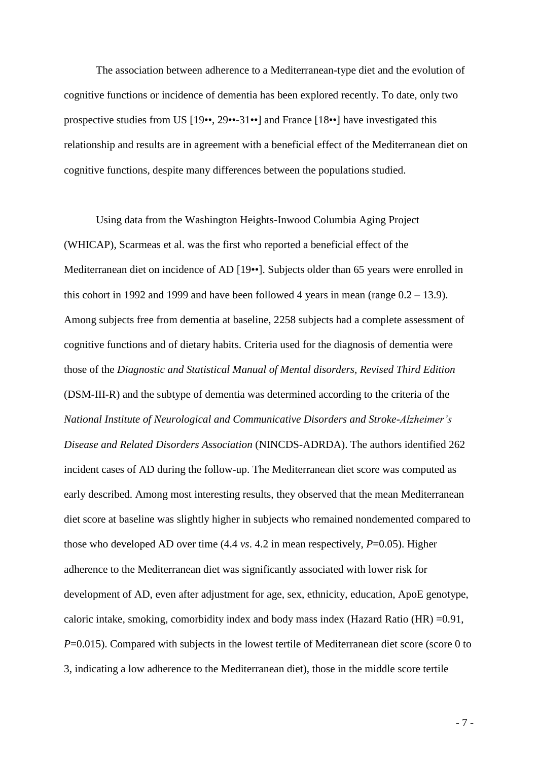The association between adherence to a Mediterranean-type diet and the evolution of cognitive functions or incidence of dementia has been explored recently. To date, only two prospective studies from US [19••, 29••-31••] and France [18••] have investigated this relationship and results are in agreement with a beneficial effect of the Mediterranean diet on cognitive functions, despite many differences between the populations studied.

Using data from the Washington Heights-Inwood Columbia Aging Project (WHICAP), Scarmeas et al. was the first who reported a beneficial effect of the Mediterranean diet on incidence of AD [19••]. Subjects older than 65 years were enrolled in this cohort in 1992 and 1999 and have been followed 4 years in mean (range  $0.2 - 13.9$ ). Among subjects free from dementia at baseline, 2258 subjects had a complete assessment of cognitive functions and of dietary habits. Criteria used for the diagnosis of dementia were those of the *Diagnostic and Statistical Manual of Mental disorders, Revised Third Edition* (DSM-III-R) and the subtype of dementia was determined according to the criteria of the *National Institute of Neurological and Communicative Disorders and Stroke-Alzheimer's Disease and Related Disorders Association* (NINCDS-ADRDA). The authors identified 262 incident cases of AD during the follow-up. The Mediterranean diet score was computed as early described. Among most interesting results, they observed that the mean Mediterranean diet score at baseline was slightly higher in subjects who remained nondemented compared to those who developed AD over time  $(4.4 \text{ vs. } 4.2 \text{ in mean respectively, } P=0.05)$ . Higher adherence to the Mediterranean diet was significantly associated with lower risk for development of AD, even after adjustment for age, sex, ethnicity, education, ApoE genotype, caloric intake, smoking, comorbidity index and body mass index (Hazard Ratio (HR)  $=0.91$ , *P*=0.015). Compared with subjects in the lowest tertile of Mediterranean diet score (score 0 to 3, indicating a low adherence to the Mediterranean diet), those in the middle score tertile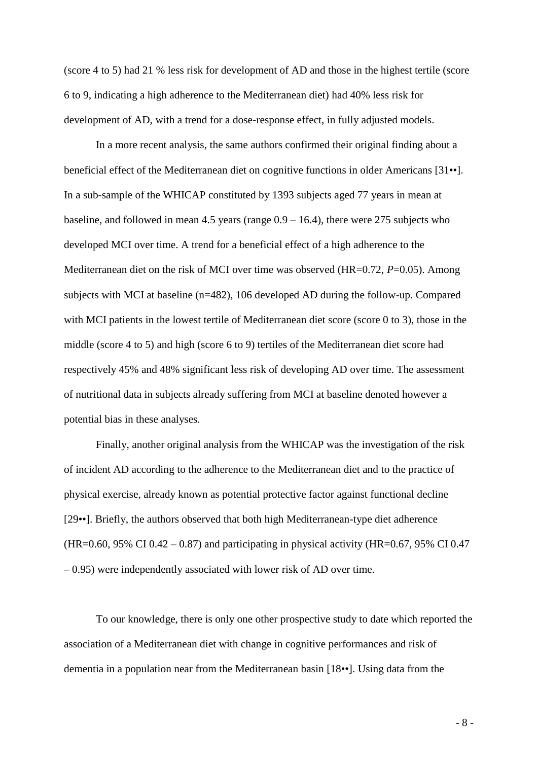(score 4 to 5) had 21 % less risk for development of AD and those in the highest tertile (score 6 to 9, indicating a high adherence to the Mediterranean diet) had 40% less risk for development of AD, with a trend for a dose-response effect, in fully adjusted models.

In a more recent analysis, the same authors confirmed their original finding about a beneficial effect of the Mediterranean diet on cognitive functions in older Americans [31••]. In a sub-sample of the WHICAP constituted by 1393 subjects aged 77 years in mean at baseline, and followed in mean 4.5 years (range  $0.9 - 16.4$ ), there were 275 subjects who developed MCI over time. A trend for a beneficial effect of a high adherence to the Mediterranean diet on the risk of MCI over time was observed (HR=0.72, *P*=0.05). Among subjects with MCI at baseline (n=482), 106 developed AD during the follow-up. Compared with MCI patients in the lowest tertile of Mediterranean diet score (score 0 to 3), those in the middle (score 4 to 5) and high (score 6 to 9) tertiles of the Mediterranean diet score had respectively 45% and 48% significant less risk of developing AD over time. The assessment of nutritional data in subjects already suffering from MCI at baseline denoted however a potential bias in these analyses.

Finally, another original analysis from the WHICAP was the investigation of the risk of incident AD according to the adherence to the Mediterranean diet and to the practice of physical exercise, already known as potential protective factor against functional decline [29••]. Briefly, the authors observed that both high Mediterranean-type diet adherence  $(HR=0.60, 95\% \text{ CI } 0.42 - 0.87)$  and participating in physical activity  $(HR=0.67, 95\% \text{ CI } 0.47)$ – 0.95) were independently associated with lower risk of AD over time.

To our knowledge, there is only one other prospective study to date which reported the association of a Mediterranean diet with change in cognitive performances and risk of dementia in a population near from the Mediterranean basin [18••]. Using data from the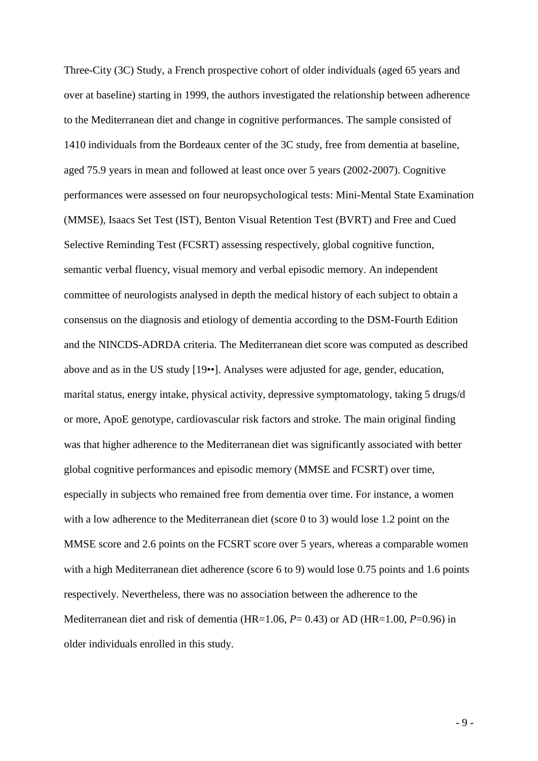Three-City (3C) Study, a French prospective cohort of older individuals (aged 65 years and over at baseline) starting in 1999, the authors investigated the relationship between adherence to the Mediterranean diet and change in cognitive performances. The sample consisted of 1410 individuals from the Bordeaux center of the 3C study, free from dementia at baseline, aged 75.9 years in mean and followed at least once over 5 years (2002-2007). Cognitive performances were assessed on four neuropsychological tests: Mini-Mental State Examination (MMSE), Isaacs Set Test (IST), Benton Visual Retention Test (BVRT) and Free and Cued Selective Reminding Test (FCSRT) assessing respectively, global cognitive function, semantic verbal fluency, visual memory and verbal episodic memory. An independent committee of neurologists analysed in depth the medical history of each subject to obtain a consensus on the diagnosis and etiology of dementia according to the DSM-Fourth Edition and the NINCDS-ADRDA criteria. The Mediterranean diet score was computed as described above and as in the US study [19••]. Analyses were adjusted for age, gender, education, marital status, energy intake, physical activity, depressive symptomatology, taking 5 drugs/d or more, ApoE genotype, cardiovascular risk factors and stroke. The main original finding was that higher adherence to the Mediterranean diet was significantly associated with better global cognitive performances and episodic memory (MMSE and FCSRT) over time, especially in subjects who remained free from dementia over time. For instance, a women with a low adherence to the Mediterranean diet (score 0 to 3) would lose 1.2 point on the MMSE score and 2.6 points on the FCSRT score over 5 years, whereas a comparable women with a high Mediterranean diet adherence (score 6 to 9) would lose 0.75 points and 1.6 points respectively. Nevertheless, there was no association between the adherence to the Mediterranean diet and risk of dementia (HR=1.06, *P*= 0.43) or AD (HR=1.00, *P*=0.96) in older individuals enrolled in this study.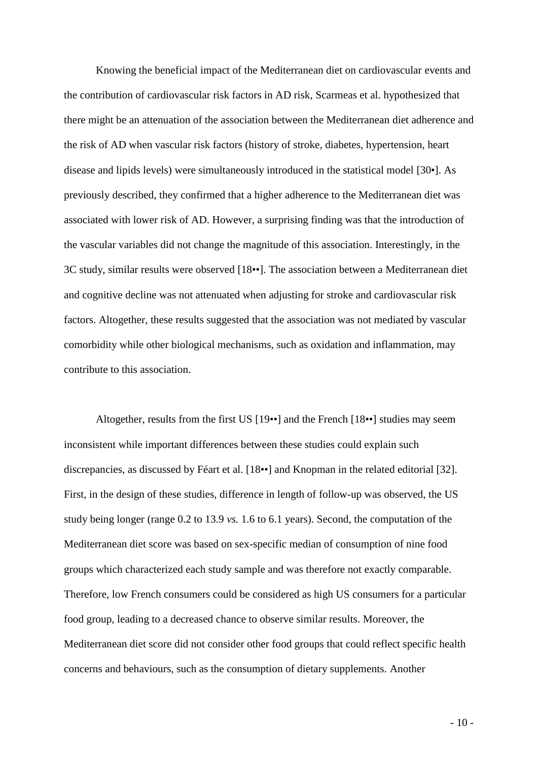Knowing the beneficial impact of the Mediterranean diet on cardiovascular events and the contribution of cardiovascular risk factors in AD risk, Scarmeas et al. hypothesized that there might be an attenuation of the association between the Mediterranean diet adherence and the risk of AD when vascular risk factors (history of stroke, diabetes, hypertension, heart disease and lipids levels) were simultaneously introduced in the statistical model [30•]. As previously described, they confirmed that a higher adherence to the Mediterranean diet was associated with lower risk of AD. However, a surprising finding was that the introduction of the vascular variables did not change the magnitude of this association. Interestingly, in the 3C study, similar results were observed [18••]. The association between a Mediterranean diet and cognitive decline was not attenuated when adjusting for stroke and cardiovascular risk factors. Altogether, these results suggested that the association was not mediated by vascular comorbidity while other biological mechanisms, such as oxidation and inflammation, may contribute to this association.

Altogether, results from the first US [19••] and the French [18••] studies may seem inconsistent while important differences between these studies could explain such discrepancies, as discussed by Féart et al. [18••] and Knopman in the related editorial [32]. First, in the design of these studies, difference in length of follow-up was observed, the US study being longer (range 0.2 to 13.9 *vs.* 1.6 to 6.1 years). Second, the computation of the Mediterranean diet score was based on sex-specific median of consumption of nine food groups which characterized each study sample and was therefore not exactly comparable. Therefore, low French consumers could be considered as high US consumers for a particular food group*,* leading to a decreased chance to observe similar results. Moreover, the Mediterranean diet score did not consider other food groups that could reflect specific health concerns and behaviours, such as the consumption of dietary supplements. Another

 $-10-$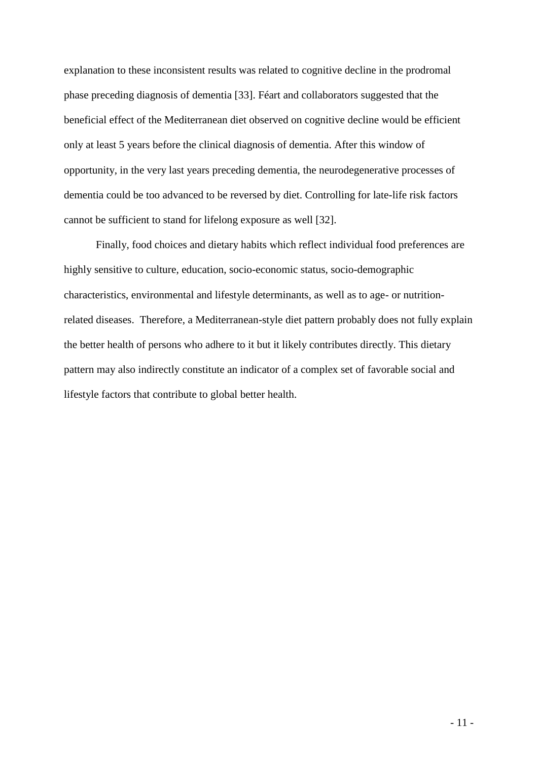explanation to these inconsistent results was related to cognitive decline in the prodromal phase preceding diagnosis of dementia [33]. Féart and collaborators suggested that the beneficial effect of the Mediterranean diet observed on cognitive decline would be efficient only at least 5 years before the clinical diagnosis of dementia. After this window of opportunity, in the very last years preceding dementia, the neurodegenerative processes of dementia could be too advanced to be reversed by diet. Controlling for late-life risk factors cannot be sufficient to stand for lifelong exposure as well [32].

Finally, food choices and dietary habits which reflect individual food preferences are highly sensitive to culture, education, socio-economic status, socio-demographic characteristics, environmental and lifestyle determinants, as well as to age- or nutritionrelated diseases. Therefore, a Mediterranean-style diet pattern probably does not fully explain the better health of persons who adhere to it but it likely contributes directly. This dietary pattern may also indirectly constitute an indicator of a complex set of favorable social and lifestyle factors that contribute to global better health.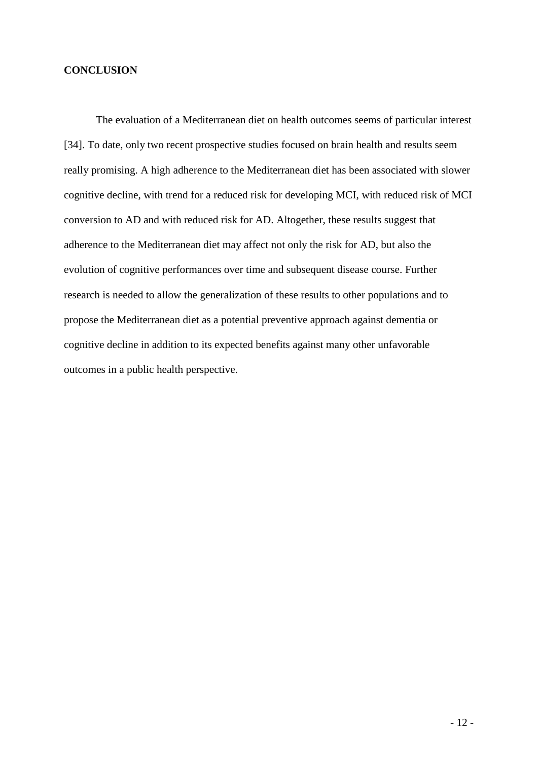#### **CONCLUSION**

The evaluation of a Mediterranean diet on health outcomes seems of particular interest [34]. To date, only two recent prospective studies focused on brain health and results seem really promising. A high adherence to the Mediterranean diet has been associated with slower cognitive decline, with trend for a reduced risk for developing MCI, with reduced risk of MCI conversion to AD and with reduced risk for AD. Altogether, these results suggest that adherence to the Mediterranean diet may affect not only the risk for AD, but also the evolution of cognitive performances over time and subsequent disease course. Further research is needed to allow the generalization of these results to other populations and to propose the Mediterranean diet as a potential preventive approach against dementia or cognitive decline in addition to its expected benefits against many other unfavorable outcomes in a public health perspective.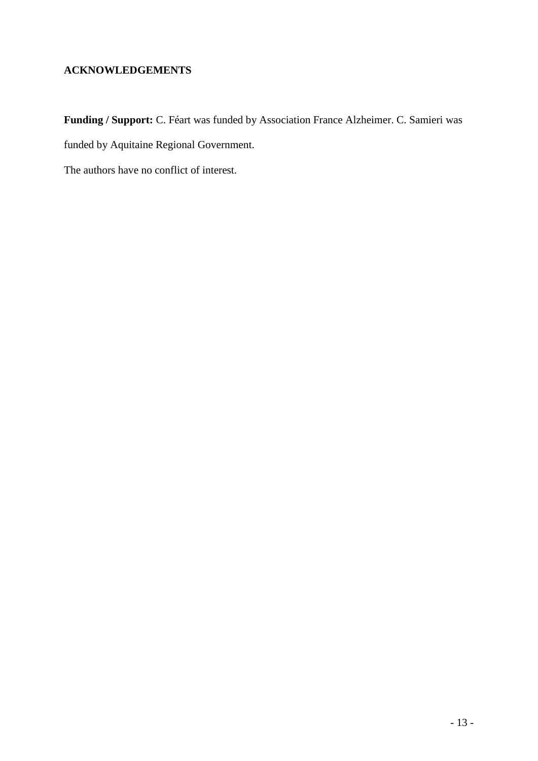## **ACKNOWLEDGEMENTS**

**Funding / Support:** C. Féart was funded by Association France Alzheimer. C. Samieri was funded by Aquitaine Regional Government.

The authors have no conflict of interest.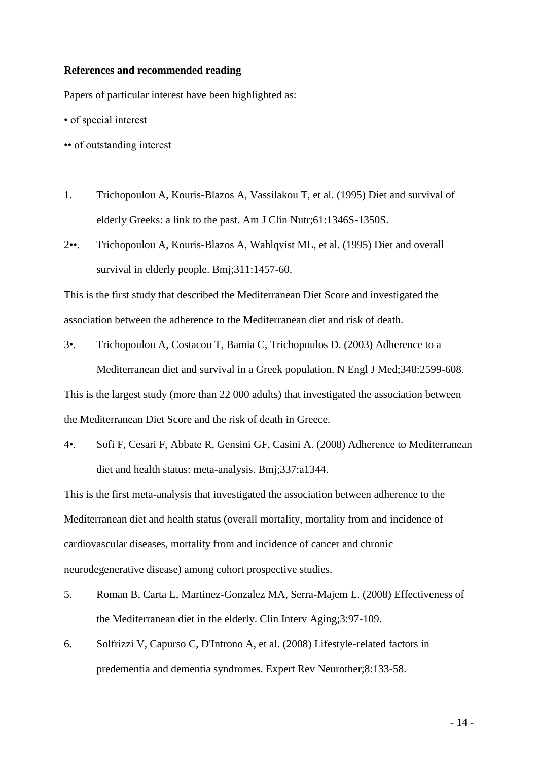#### **References and recommended reading**

Papers of particular interest have been highlighted as:

- of special interest
- •• of outstanding interest
- 1. Trichopoulou A, Kouris-Blazos A, Vassilakou T, et al. (1995) Diet and survival of elderly Greeks: a link to the past. Am J Clin Nutr;61:1346S-1350S.
- 2••. Trichopoulou A, Kouris-Blazos A, Wahlqvist ML, et al. (1995) Diet and overall survival in elderly people. Bmj;311:1457-60.

This is the first study that described the Mediterranean Diet Score and investigated the association between the adherence to the Mediterranean diet and risk of death.

3•. Trichopoulou A, Costacou T, Bamia C, Trichopoulos D. (2003) Adherence to a Mediterranean diet and survival in a Greek population. N Engl J Med;348:2599-608. This is the largest study (more than 22 000 adults) that investigated the association between

the Mediterranean Diet Score and the risk of death in Greece.

4•. Sofi F, Cesari F, Abbate R, Gensini GF, Casini A. (2008) Adherence to Mediterranean diet and health status: meta-analysis. Bmj;337:a1344.

This is the first meta-analysis that investigated the association between adherence to the Mediterranean diet and health status (overall mortality, mortality from and incidence of cardiovascular diseases, mortality from and incidence of cancer and chronic neurodegenerative disease) among cohort prospective studies.

- 5. Roman B, Carta L, Martinez-Gonzalez MA, Serra-Majem L. (2008) Effectiveness of the Mediterranean diet in the elderly. Clin Interv Aging;3:97-109.
- 6. Solfrizzi V, Capurso C, D'Introno A, et al. (2008) Lifestyle-related factors in predementia and dementia syndromes. Expert Rev Neurother;8:133-58.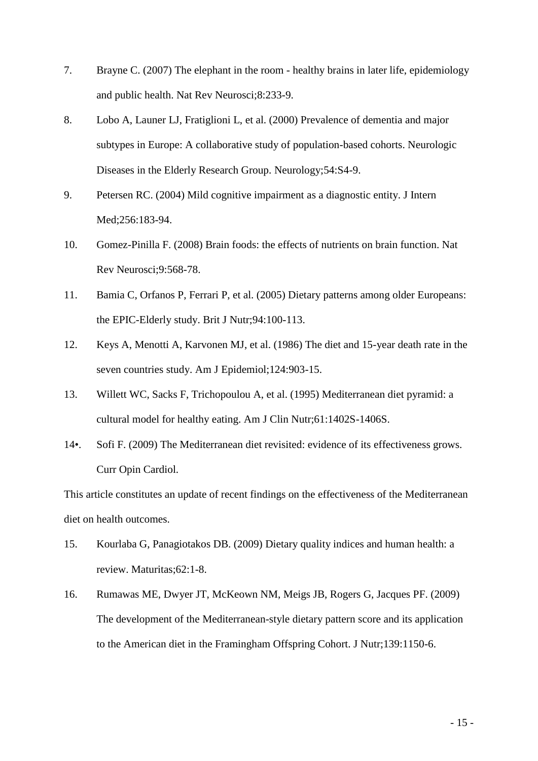- 7. Brayne C. (2007) The elephant in the room healthy brains in later life, epidemiology and public health. Nat Rev Neurosci;8:233-9.
- 8. Lobo A, Launer LJ, Fratiglioni L, et al. (2000) Prevalence of dementia and major subtypes in Europe: A collaborative study of population-based cohorts. Neurologic Diseases in the Elderly Research Group. Neurology;54:S4-9.
- 9. Petersen RC. (2004) Mild cognitive impairment as a diagnostic entity. J Intern Med;256:183-94.
- 10. Gomez-Pinilla F. (2008) Brain foods: the effects of nutrients on brain function. Nat Rev Neurosci;9:568-78.
- 11. Bamia C, Orfanos P, Ferrari P, et al. (2005) Dietary patterns among older Europeans: the EPIC-Elderly study. Brit J Nutr;94:100-113.
- 12. Keys A, Menotti A, Karvonen MJ, et al. (1986) The diet and 15-year death rate in the seven countries study. Am J Epidemiol;124:903-15.
- 13. Willett WC, Sacks F, Trichopoulou A, et al. (1995) Mediterranean diet pyramid: a cultural model for healthy eating. Am J Clin Nutr;61:1402S-1406S.
- 14•. Sofi F. (2009) The Mediterranean diet revisited: evidence of its effectiveness grows. Curr Opin Cardiol.

This article constitutes an update of recent findings on the effectiveness of the Mediterranean diet on health outcomes.

- 15. Kourlaba G, Panagiotakos DB. (2009) Dietary quality indices and human health: a review. Maturitas;62:1-8.
- 16. Rumawas ME, Dwyer JT, McKeown NM, Meigs JB, Rogers G, Jacques PF. (2009) The development of the Mediterranean-style dietary pattern score and its application to the American diet in the Framingham Offspring Cohort. J Nutr;139:1150-6.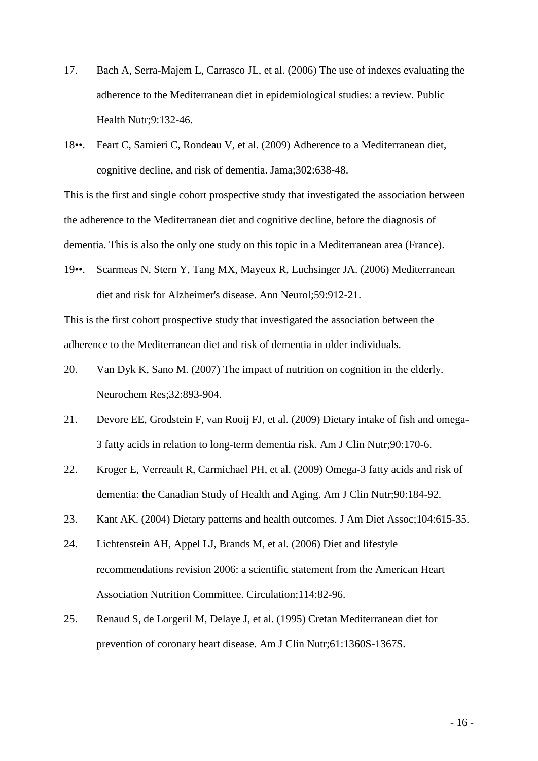- 17. Bach A, Serra-Majem L, Carrasco JL, et al. (2006) The use of indexes evaluating the adherence to the Mediterranean diet in epidemiological studies: a review. Public Health Nutr;9:132-46.
- 18••. Feart C, Samieri C, Rondeau V, et al. (2009) Adherence to a Mediterranean diet, cognitive decline, and risk of dementia. Jama;302:638-48.

This is the first and single cohort prospective study that investigated the association between the adherence to the Mediterranean diet and cognitive decline, before the diagnosis of dementia. This is also the only one study on this topic in a Mediterranean area (France).

19••. Scarmeas N, Stern Y, Tang MX, Mayeux R, Luchsinger JA. (2006) Mediterranean diet and risk for Alzheimer's disease. Ann Neurol;59:912-21.

This is the first cohort prospective study that investigated the association between the adherence to the Mediterranean diet and risk of dementia in older individuals.

- 20. Van Dyk K, Sano M. (2007) The impact of nutrition on cognition in the elderly. Neurochem Res;32:893-904.
- 21. Devore EE, Grodstein F, van Rooij FJ, et al. (2009) Dietary intake of fish and omega-3 fatty acids in relation to long-term dementia risk. Am J Clin Nutr;90:170-6.
- 22. Kroger E, Verreault R, Carmichael PH, et al. (2009) Omega-3 fatty acids and risk of dementia: the Canadian Study of Health and Aging. Am J Clin Nutr;90:184-92.
- 23. Kant AK. (2004) Dietary patterns and health outcomes. J Am Diet Assoc;104:615-35.
- 24. Lichtenstein AH, Appel LJ, Brands M, et al. (2006) Diet and lifestyle recommendations revision 2006: a scientific statement from the American Heart Association Nutrition Committee. Circulation;114:82-96.
- 25. Renaud S, de Lorgeril M, Delaye J, et al. (1995) Cretan Mediterranean diet for prevention of coronary heart disease. Am J Clin Nutr;61:1360S-1367S.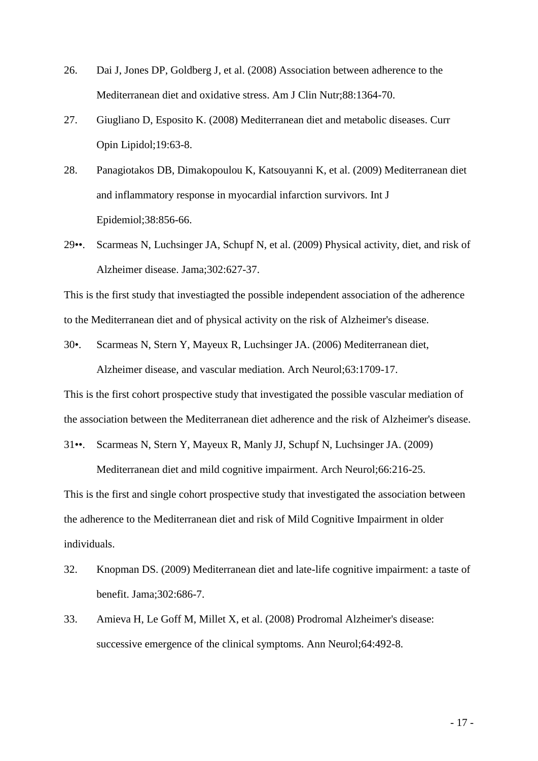- 26. Dai J, Jones DP, Goldberg J, et al. (2008) Association between adherence to the Mediterranean diet and oxidative stress. Am J Clin Nutr;88:1364-70.
- 27. Giugliano D, Esposito K. (2008) Mediterranean diet and metabolic diseases. Curr Opin Lipidol;19:63-8.
- 28. Panagiotakos DB, Dimakopoulou K, Katsouyanni K, et al. (2009) Mediterranean diet and inflammatory response in myocardial infarction survivors. Int J Epidemiol;38:856-66.
- 29••. Scarmeas N, Luchsinger JA, Schupf N, et al. (2009) Physical activity, diet, and risk of Alzheimer disease. Jama;302:627-37.

This is the first study that investiagted the possible independent association of the adherence to the Mediterranean diet and of physical activity on the risk of Alzheimer's disease.

30•. Scarmeas N, Stern Y, Mayeux R, Luchsinger JA. (2006) Mediterranean diet, Alzheimer disease, and vascular mediation. Arch Neurol;63:1709-17.

This is the first cohort prospective study that investigated the possible vascular mediation of the association between the Mediterranean diet adherence and the risk of Alzheimer's disease.

31••. Scarmeas N, Stern Y, Mayeux R, Manly JJ, Schupf N, Luchsinger JA. (2009)

Mediterranean diet and mild cognitive impairment. Arch Neurol;66:216-25.

This is the first and single cohort prospective study that investigated the association between the adherence to the Mediterranean diet and risk of Mild Cognitive Impairment in older individuals.

- 32. Knopman DS. (2009) Mediterranean diet and late-life cognitive impairment: a taste of benefit. Jama;302:686-7.
- 33. Amieva H, Le Goff M, Millet X, et al. (2008) Prodromal Alzheimer's disease: successive emergence of the clinical symptoms. Ann Neurol;64:492-8.